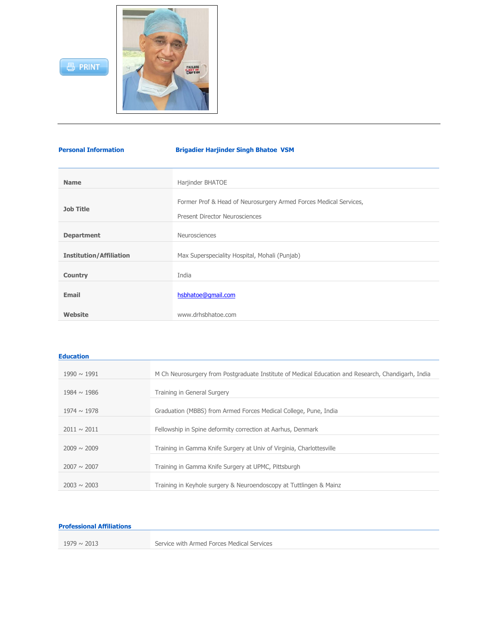



| <b>Personal Information</b>    | <b>Brigadier Harjinder Singh Bhatoe VSM</b>                                                                |
|--------------------------------|------------------------------------------------------------------------------------------------------------|
|                                |                                                                                                            |
| <b>Name</b>                    | Harjinder BHATOE                                                                                           |
| <b>Job Title</b>               | Former Prof & Head of Neurosurgery Armed Forces Medical Services,<br><b>Present Director Neurosciences</b> |
| <b>Department</b>              | Neurosciences                                                                                              |
| <b>Institution/Affiliation</b> | Max Superspeciality Hospital, Mohali (Punjab)                                                              |
| <b>Country</b>                 | India                                                                                                      |
| <b>Email</b>                   | hsbhatoe@gmail.com                                                                                         |
| Website                        | www.drhsbhatoe.com                                                                                         |

| Education |  |
|-----------|--|
|           |  |

| $1990 \sim 1991$ | M Ch Neurosurgery from Postgraduate Institute of Medical Education and Research, Chandigarh, India |
|------------------|----------------------------------------------------------------------------------------------------|
| $1984 \sim 1986$ | Training in General Surgery                                                                        |
| $1974 \sim 1978$ | Graduation (MBBS) from Armed Forces Medical College, Pune, India                                   |
| $2011 \sim 2011$ | Fellowship in Spine deformity correction at Aarhus, Denmark                                        |
| $2009 \sim 2009$ | Training in Gamma Knife Surgery at Univ of Virginia, Charlottesville                               |
| $2007 \sim 2007$ | Training in Gamma Knife Surgery at UPMC, Pittsburgh                                                |
| $2003 \sim 2003$ | Training in Keyhole surgery & Neuroendoscopy at Tuttlingen & Mainz                                 |

## **Professional Affiliations**

| $1979 \sim 2013$ |
|------------------|
|------------------|